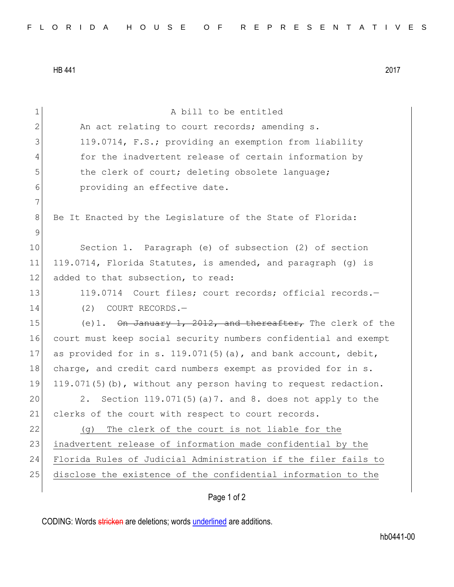HB 441 2017

| $\mathbf 1$  | A bill to be entitled                                            |
|--------------|------------------------------------------------------------------|
| $\mathbf{2}$ | An act relating to court records; amending s.                    |
| 3            | 119.0714, F.S.; providing an exemption from liability            |
| 4            | for the inadvertent release of certain information by            |
| 5            | the clerk of court; deleting obsolete language;                  |
| 6            | providing an effective date.                                     |
| 7            |                                                                  |
| 8            | Be It Enacted by the Legislature of the State of Florida:        |
| 9            |                                                                  |
| 10           | Section 1. Paragraph (e) of subsection (2) of section            |
| 11           | 119.0714, Florida Statutes, is amended, and paragraph (g) is     |
| 12           | added to that subsection, to read:                               |
| 13           | 119.0714 Court files; court records; official records.-          |
| 14           | (2)<br>COURT RECORDS.-                                           |
| 15           | (e)1. On January 1, 2012, and thereafter, The clerk of the       |
| 16           | court must keep social security numbers confidential and exempt  |
| 17           | as provided for in s. $119.071(5)$ (a), and bank account, debit, |
| 18           | charge, and credit card numbers exempt as provided for in s.     |
| 19           | 119.071(5)(b), without any person having to request redaction.   |
| 20           | 2.<br>Section $119.071(5)$ (a)7. and 8. does not apply to the    |
| 21           | clerks of the court with respect to court records.               |
| 22           | The clerk of the court is not liable for the<br>(g)              |
| 23           | inadvertent release of information made confidential by the      |
| 24           | Florida Rules of Judicial Administration if the filer fails to   |
| 25           | disclose the existence of the confidential information to the    |
|              |                                                                  |

## Page 1 of 2

CODING: Words stricken are deletions; words underlined are additions.